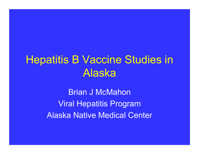# Hepatitis B Vaccine Studies in Alaska

Brian J McMahon Viral Hepatitis Program Alaska Native Medical Center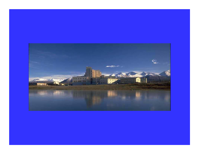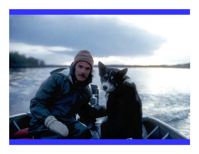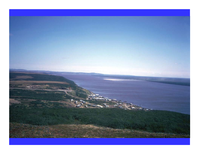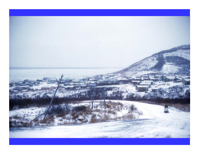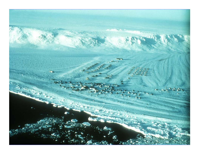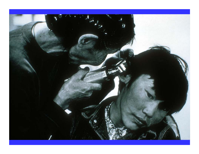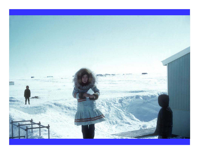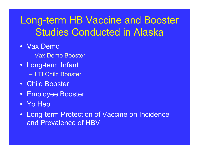# Long-term HB Vaccine and Booster Studies Conducted in Alaska

- Vax Demo
	- –Vax Demo Booster
- Long-term Infant –LTI Child Booster
- •Child Booster
- Employee Booster
- Yo Hep
- Long-term Protection of Vaccine on Incidence and Prevalence of HBV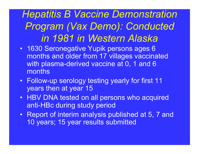### *Hepatitis B Vaccine Demonstration Program (Vax Demo): Conducted in 1981 in Western Alaska*

- 1630 Seronegative Yupik persons ages 6 months and older from 17 villages vaccinated with plasma-derived vaccine at 0, 1 and 6 months
- Follow-up serology testing yearly for first 11 years then at year 15
- HBV DNA tested on all persons who acquired anti-HBc during study period
- Report of interim analysis published at 5, 7 and 10 years; 15 year results submitted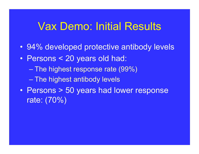### Vax Demo: Initial Results

- $\bullet$ 94% developed protective antibody levels
- $\bullet$  Persons < 20 years old had:
	- The highest response rate (99%)
	- The highest antibody levels
- $\bullet$  Persons > 50 years had lower response rate: (70%)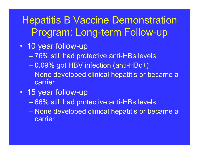# Hepatitis B Vaccine Demonstration Program: Long-term Follow-up

- $\bullet$ • 10 year follow-up
	- en al control de la control de 76% still had protective anti-HBs levels
	- 0.09% got HBV infection (anti-HBc+)
	- None developed clinical hepatitis or became a carrier
- $\bullet$ • 15 year follow-up
	- 66% still had protective anti-HBs levels
	- None developed clinical hepatitis or became a carrier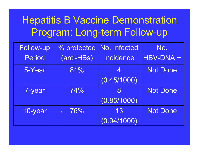## Hepatitis B Vaccine Demonstration Program: Long-term Follow-up

| Follow-up     | % protected    | No. Infected | No.             |
|---------------|----------------|--------------|-----------------|
| <b>Period</b> | (anti-HBs)     | Incidence    | HBV-DNA +       |
| 5-Year        | 81%            | 4            | <b>Not Done</b> |
|               |                | (0.45/1000)  |                 |
| 7-year        | 74%            | 8            | <b>Not Done</b> |
|               |                | (0.85/1000)  |                 |
| 10-year       | 76%<br>$\star$ | 13           | <b>Not Done</b> |
|               |                | (0.94/1000)  |                 |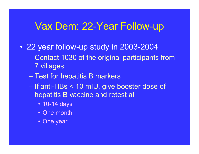### Vax Dem: 22-Year Follow-up

- $\bullet$  22 year follow-up study in 2003-2004
	- Contact 1030 of the original participants from 7 villages
	- Test for hepatitis B markers
	- en al control de la control de – If anti-HBs < 10 mIU, give booster dose of hepatitis B vaccine and retest at
		- 10-14 days
		- One month
		- One year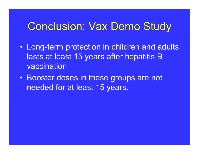# Conclusion: Vax Demo Study

- Long-term protection in children and adults lasts at least 15 years after hepatitis B vaccination
- $\bullet$  Booster doses in these groups are not needed for at least 15 years.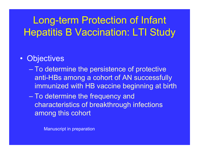# Long-term Protection of Infant Hepatitis B Vaccination: LTI Study

#### $\bullet$ Objectives

- To determine the persistence of protective anti-HBs among a cohort of AN successfully immunized with HB vaccine beginning at birth
- To determine the frequency and characteristics of breakthrough infections among this cohort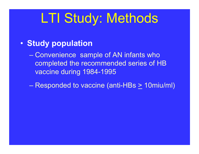# LTI Study: Methods

#### $\bullet$ **• Study population**

– Convenience sample of AN infants who completed the recommended series of HB vaccine during 1984-1995

– Responded to vaccine (anti-HBs <u>></u> 10miu/ml)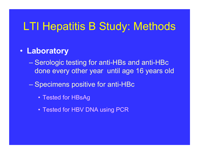# LTI Hepatitis B Study: Methods

#### • **Laboratory**

- Serologic testing for anti-HBs and anti-HBc done every other year until age 16 years old
- Specimens positive for anti-HBc
	- Tested for HBsAg
	- Tested for HBV DNA using PCR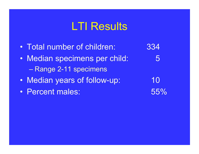# LTI Results

- $\bullet$ • Total number of children: 334
- $\bullet$ • Median specimens per child: – Range 2-11 specimens
- $\bullet$ • Median years of follow-up: 10
- $\bullet$ Percent males:  $55\%$
- 5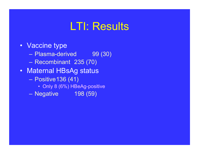# LTI: Results

- Vaccine type
	- Plasma-derived 99 (30)
	- Recombinant 235 (70)
- Maternal HBsAg status
	- Positive136 (41)
		- Only 8 (6%) HBeAg-positive
	- Negative 198 (59)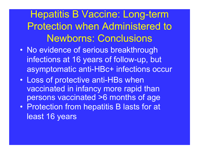Hepatitis B Vaccine: Long-term Protection when Administered to Newborns: Conclusions

- $\bullet$ • No evidence of serious breakthrough infections at 16 years of follow-up, but asymptomatic anti-HBc+ infections occur
- $\bullet$  Loss of protective anti-HBs when vaccinated in infancy more rapid than persons vaccinated >6 months of age
- $\bullet$ • Protection from hepatitis B lasts for at least 16 years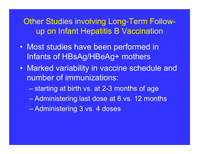### Other Studies involving Long-Term Followup on Infant Hepatitis B Vaccination

- $\bullet$  Most studies have been performed in Infants of HBsAg/HBeAg+ mothers
- $\bullet$  Marked variability in vaccine schedule and number of immunizations:

– starting at birth vs. at 2-3 months of age

- Administering last dose at 6 vs. 12 months
- Administering 3 vs. 4 doses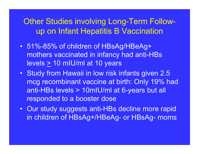### Other Studies involving Long-Term Followup on Infant Hepatitis B Vaccination

- 51%-85% of children of HBsAg/HBeAg+ mothers vaccinated in infancy had anti-HBs levels <u>></u> 10 mIU/ml at 10 years
- Study from Hawaii in low risk infants given 2.5 mcg recombinant vaccine at birth: Only 19% had anti-HBs levels > 10mIU/ml at 6-years but all responded to a booster dose
- Our study suggests anti-HBs decline more rapid in children of HBsAg+/HBeAg- or HBsAg- moms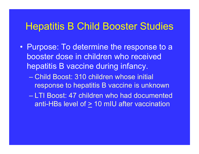### Hepatitis B Child Booster Studies

- $\bullet$ • Purpose: To determine the response to a booster dose in children who received hepatitis B vaccine during infancy.
	- –Child Boost: 310 children whose initial response to hepatitis B vaccine is unknown
	- –LTI Boost: 47 children who had documented anti-HBs level of > 10 mIU after vaccination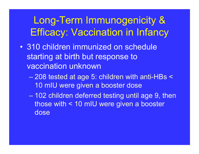### Long-Term Immunogenicity & Efficacy: Vaccination in Infancy

- 310 children immunized on schedule starting at birth but response to vaccination unknown
	- – 208 tested at age 5: children with anti-HBs < 10 mIU were given a booster dose
	- en al control de la control de 102 children deferred testing until age 9, then those with < 10 mIU were given a booster dose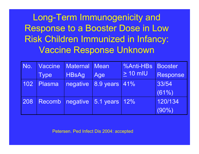Long-Term Immunogenicity and Response to a Booster Dose in Low Risk Children Immunized in Infancy: Vaccine Response Unknown

| No. | Vaccine     | Maternal Mean |               | <b>%Anti-HBs</b> | Booster  |
|-----|-------------|---------------|---------------|------------------|----------|
|     | <b>Type</b> | <b>HBsAg</b>  | Age           | $> 10$ mIU       | Response |
| 102 | Plasma      | negative      | 8.9 years 41% |                  | 33/54    |
|     |             |               |               |                  | $(61\%)$ |
| 208 | Recomb      | negative      | 5.1 years     | 12%              | 120/134  |
|     |             |               |               |                  | $(90\%)$ |

Petersen. Ped Infect Dis 2004: accepted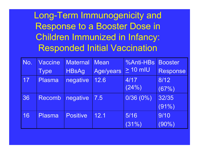### Long-Term Immunogenicity and Response to a Booster Dose in Children Immunized in Infancy: Responded Initial Vaccination

| No. | Vaccine     | <b>Maternal</b> | Mean             | <b>%Anti-HBs</b> | <b>Booster</b>  |
|-----|-------------|-----------------|------------------|------------------|-----------------|
|     | <b>Type</b> | <b>HBsAg</b>    | <b>Age/years</b> | $> 10$ mlU       | <b>Response</b> |
| 17  | Plasma      | negative        | 12.6             | 4/17             | 8/12            |
|     |             |                 |                  | (24%)            | (67%)           |
| 36  | Recomb      | negative        | 7.5              | $0/36(0\%)$      | 32/35           |
|     |             |                 |                  |                  | $(91\%)$        |
| 16  | Plasma      | <b>Positive</b> | 12.1             | 5/16             | 9/10            |
|     |             |                 |                  | $(31\%)$         | $(90\%)$        |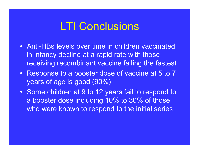# LTI Conclusions

- Anti-HBs levels over time in children vaccinated in infancy decline at a rapid rate with those receiving recombinant vaccine falling the fastest
- Response to a booster dose of vaccine at 5 to 7 years of age is good (90%)
- Some children at 9 to 12 years fail to respond to a booster dose including 10% to 30% of those who were known to respond to the initial series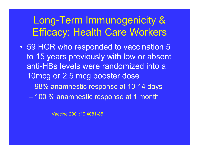### Long-Term Immunogenicity & Efficacy: Health Care Workers

- $\bullet$  59 HCR who responded to vaccination 5 to 15 years previously with low or absent anti-HBs levels were randomized into a 10mcg or 2.5 mcg booster dose
	- en al control de la control de 98% anamnestic response at 10-14 days
	- en al control de la control de 100 % anamnestic response at 1 month

Vaccine 2001;19:4081-85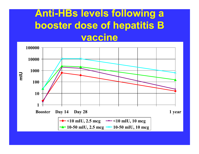### **Anti-HBs levels following a booster dose of hepatitis B vaccine**

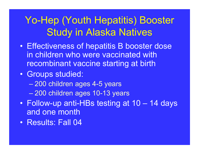## Yo-Hep (Youth Hepatitis) Booster Study in Alaska Natives

- $\bullet$  Effectiveness of hepatitis B booster dose in children who were vaccinated with recombinant vaccine starting at birth
- $\bullet$  Groups studied:
	- –200 children ages 4-5 years
	- 200 children ages 10-13 years
- $\bullet$  Follow-up anti-HBs testing at 10 – 14 days and one month
- •Results: Fall 04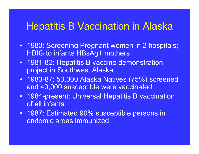### Hepatitis B Vaccination in Alaska

- 1980: Screening Pregnant women in 2 hospitals; HBIG to infants HBsAg+ mothers
- 1981-82: Hepatitis B vaccine demonstration project in Southwest Alaska
- 1983-87: 53,000 Alaska Natives (75%) screened and 40,000 susceptible were vaccinated
- 1984-present: Universal Hepatitis B vaccination of all infants
- 1987: Estimated 90% susceptible persons in endemic areas immunized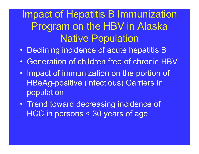Impact of Hepatitis B Immunization Program on the HBV in Alaska Native Population

- $\bullet$ Declining incidence of acute hepatitis B
- $\bullet$ Generation of children free of chronic HBV
- $\bullet$ • Impact of immunization on the portion of HBeAg-positive (infectious) Carriers in population
- $\bullet$ • Trend toward decreasing incidence of HCC in persons < 30 years of age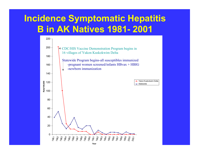### **Incidence Symptomatic Hepatitis B in AK Natives 1981- 2001**

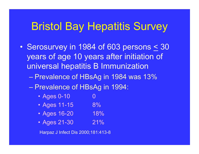## Bristol Bay Hepatitis Survey

- $\bullet$ • Serosurvey in 1984 of 603 persons  $\leq 30$ years of age 10 years after initiation of universal hepatitis B Immunization
	- Prevalence of HBsAg in 1984 was 13%
	- Prevalence of HBsAg in 1994:
		- Ages 0-10  $\Omega$
		- Ages 11-15  $8\%$
		- Ages 16-20 18%
		- Ages 21-30 21%

Harpaz J Infect Dis 2000;181:413-8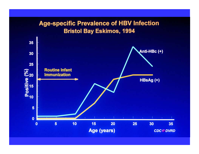#### **Age-specific Prevalence of HBV Infection Bristol Bay Eskimos, 1994**

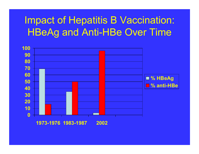## Impact of Hepatitis B Vaccination: HBeAg and Anti-HBe Over Time



**1973-1976 1983-1987 2002**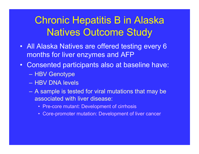### Chronic Hepatitis B in Alaska Natives Outcome Study

- All Alaska Natives are offered testing every 6 months for liver enzymes and AFP
- Consented participants also at baseline have: – HBV Genotype
	- HBV DNA levels
	- A sample is tested for viral mutations that may be associated with liver disease:
		- Pre-core mutant: Development of cirrhosis
		- Core-promoter mutation: Development of liver cancer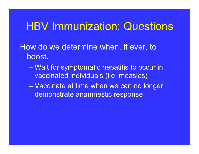### **HBV Immunization: Questions**

How do we determine when, if ever, to boost.

- Wait for symptomatic hepatitis to occur in vaccinated individuals (i.e. measles)
- Vaccinate at time when we can no longer demonstrate anamnestic response